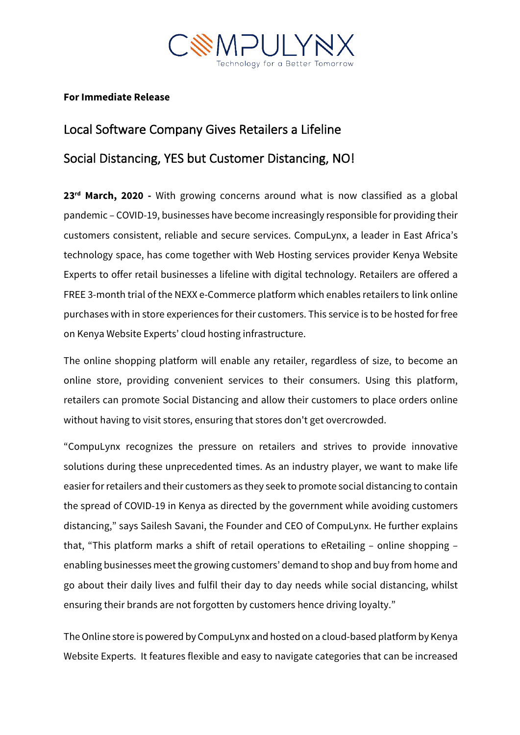

## **For Immediate Release**

# Local Software Company Gives Retailers a Lifeline Social Distancing, YES but Customer Distancing, NO!

**23rd March, 2020 -** With growing concerns around what is now classified as a global pandemic – COVID-19, businesses have become increasingly responsible for providing their customers consistent, reliable and secure services. CompuLynx, a leader in East Africa's technology space, has come together with Web Hosting services provider Kenya Website Experts to offer retail businesses a lifeline with digital technology. Retailers are offered a FREE 3-month trial of the NEXX e-Commerce platform which enables retailers to link online purchases with in store experiences for their customers. This service is to be hosted for free on Kenya Website Experts' cloud hosting infrastructure.

The online shopping platform will enable any retailer, regardless of size, to become an online store, providing convenient services to their consumers. Using this platform, retailers can promote Social Distancing and allow their customers to place orders online without having to visit stores, ensuring that stores don't get overcrowded.

"CompuLynx recognizes the pressure on retailers and strives to provide innovative solutions during these unprecedented times. As an industry player, we want to make life easier for retailers and their customers as they seek to promote social distancing to contain the spread of COVID-19 in Kenya as directed by the government while avoiding customers distancing," says Sailesh Savani, the Founder and CEO of CompuLynx. He further explains that, "This platform marks a shift of retail operations to eRetailing – online shopping – enabling businesses meet the growing customers' demand to shop and buy from home and go about their daily lives and fulfil their day to day needs while social distancing, whilst ensuring their brands are not forgotten by customers hence driving loyalty."

TheOnline store is powered by CompuLynx and hosted on a cloud-based platform by Kenya Website Experts. It features flexible and easy to navigate categories that can be increased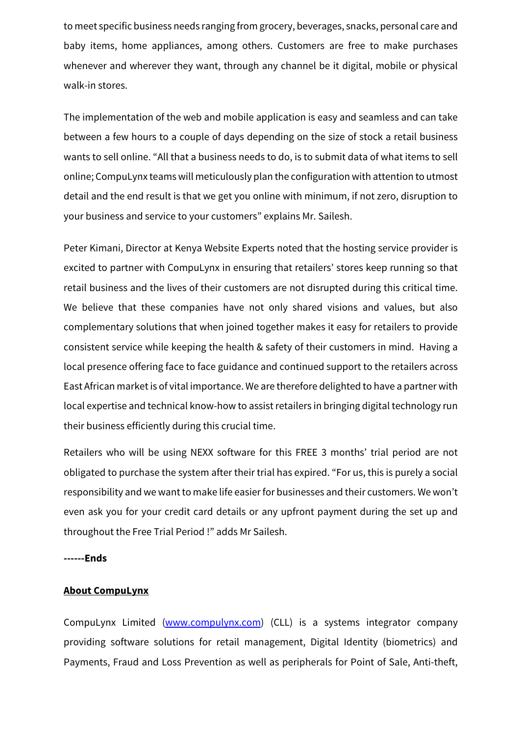to meet specific business needs ranging from grocery, beverages, snacks, personal care and baby items, home appliances, among others. Customers are free to make purchases whenever and wherever they want, through any channel be it digital, mobile or physical walk-in stores.

The implementation of the web and mobile application is easy and seamless and can take between a few hours to a couple of days depending on the size of stock a retail business wants to sell online. "All that a business needs to do, is to submit data of what items to sell online; CompuLynx teams will meticulously plan the configuration with attention to utmost detail and the end result is that we get you online with minimum, if not zero, disruption to your business and service to your customers" explains Mr. Sailesh.

Peter Kimani, Director at Kenya Website Experts noted that the hosting service provider is excited to partner with CompuLynx in ensuring that retailers' stores keep running so that retail business and the lives of their customers are not disrupted during this critical time. We believe that these companies have not only shared visions and values, but also complementary solutions that when joined together makes it easy for retailers to provide consistent service while keeping the health & safety of their customers in mind. Having a local presence offering face to face guidance and continued support to the retailers across East African market is of vital importance. We are therefore delighted to have a partner with local expertise and technical know-how to assist retailers in bringing digital technology run their business efficiently during this crucial time.

Retailers who will be using NEXX software for this FREE 3 months' trial period are not obligated to purchase the system after their trial has expired. "For us, this is purely a social responsibility and we want to make life easier for businesses and their customers. We won't even ask you for your credit card details or any upfront payment during the set up and throughout the Free Trial Period !" adds Mr Sailesh.

#### **------Ends**

### **About CompuLynx**

CompuLynx Limited (www.compulynx.com) (CLL) is a systems integrator company providing software solutions for retail management, Digital Identity (biometrics) and Payments, Fraud and Loss Prevention as well as peripherals for Point of Sale, Anti-theft,